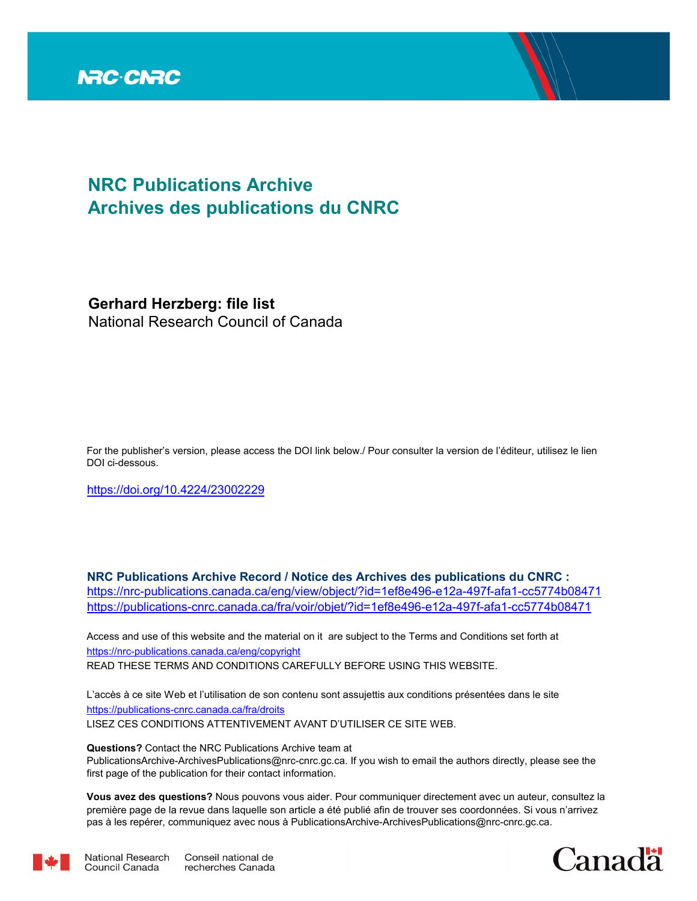

# **NRC Publications Archive Archives des publications du CNRC**

**Gerhard Herzberg: file list** National Research Council of Canada

For the publisher's version, please access the DOI link below./ Pour consulter la version de l'éditeur, utilisez le lien DOI ci-dessous.

https://doi.org/10.4224/23002229

**NRC Publications Archive Record / Notice des Archives des publications du CNRC :** https://nrc-publications.canada.ca/eng/view/object/?id=1ef8e496-e12a-497f-afa1-cc5774b08471 https://publications-cnrc.canada.ca/fra/voir/objet/?id=1ef8e496-e12a-497f-afa1-cc5774b08471

READ THESE TERMS AND CONDITIONS CAREFULLY BEFORE USING THIS WEBSITE. https://nrc-publications.canada.ca/eng/copyright Access and use of this website and the material on it are subject to the Terms and Conditions set forth at

https://publications-cnrc.canada.ca/fra/droits L'accès à ce site Web et l'utilisation de son contenu sont assujettis aux conditions présentées dans le site LISEZ CES CONDITIONS ATTENTIVEMENT AVANT D'UTILISER CE SITE WEB.

**Questions?** Contact the NRC Publications Archive team at PublicationsArchive-ArchivesPublications@nrc-cnrc.gc.ca. If you wish to email the authors directly, please see the first page of the publication for their contact information.

**Vous avez des questions?** Nous pouvons vous aider. Pour communiquer directement avec un auteur, consultez la première page de la revue dans laquelle son article a été publié afin de trouver ses coordonnées. Si vous n'arrivez pas à les repérer, communiquez avec nous à PublicationsArchive-ArchivesPublications@nrc-cnrc.gc.ca.





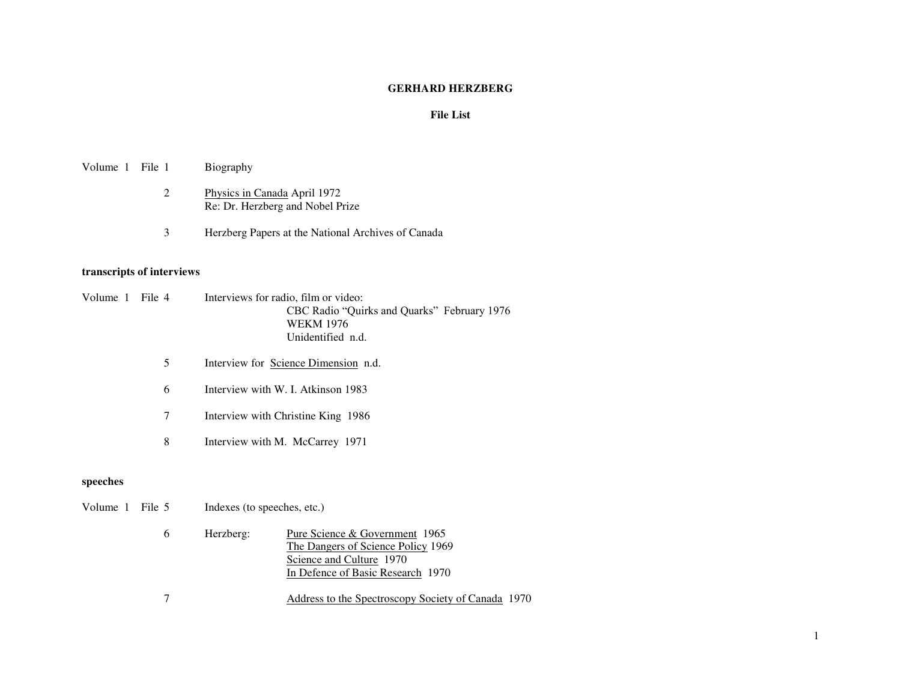#### **GERHARD HERZBERG**

#### **File List**

#### Volume 1 File 1 Biography

- 2 Physics in Canada April 1972 Re: Dr. Herzberg and Nobel Prize
- 3 Herzberg Papers at the National Archives of Canada

#### **transcripts of interviews**

- Volume 1 File 4 Interviews for radio, film or video: CBC Radio "Quirks and Quarks" February 1976 WEKM 1976 Unidentified n.d.
	- 5 Interview for Science Dimension n.d.
	- 6 Interview with W. I. Atkinson 1983
	- 7 Interview with Christine King 1986
	- 8 Interview with M. McCarrey 1971

#### **speeches**

- Volume 1 File 5 Indexes (to speeches, etc.)
	- 6 Herzberg: Pure Science & Government 1965 The Dangers of Science Policy 1969 Science and Culture 1970 In Defence of Basic Research 1970
	- 7 Address to the Spectroscopy Society of Canada 1970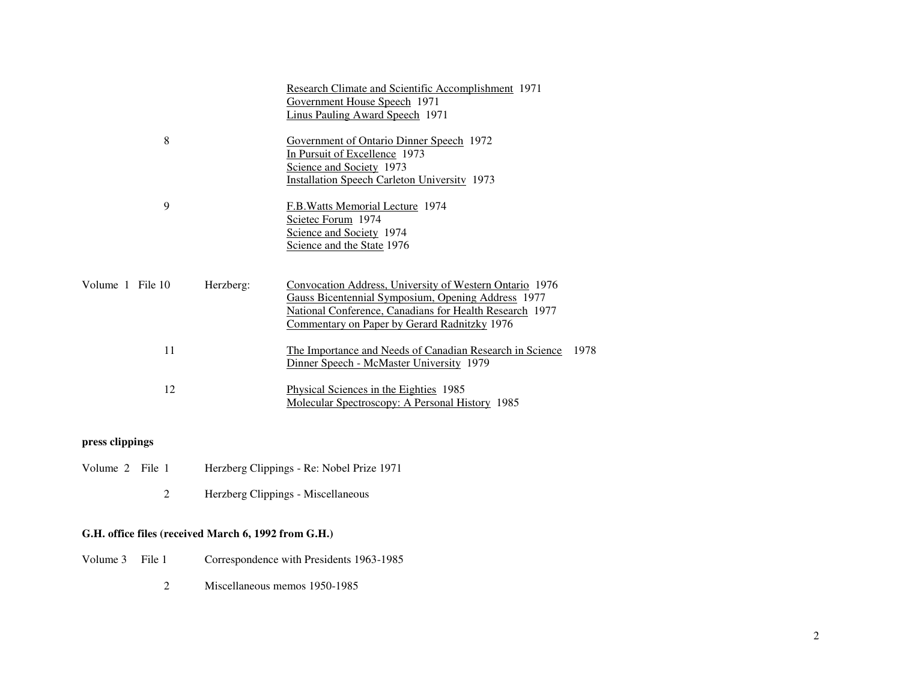|                               | Research Climate and Scientific Accomplishment 1971<br>Government House Speech 1971<br>Linus Pauling Award Speech 1971                                                                                                   |      |
|-------------------------------|--------------------------------------------------------------------------------------------------------------------------------------------------------------------------------------------------------------------------|------|
| 8                             | Government of Ontario Dinner Speech 1972<br>In Pursuit of Excellence 1973<br>Science and Society 1973<br><b>Installation Speech Carleton University 1973</b>                                                             |      |
| 9                             | F.B. Watts Memorial Lecture 1974<br>Scietec Forum 1974<br>Science and Society 1974<br>Science and the State 1976                                                                                                         |      |
| Volume 1 File 10<br>Herzberg: | Convocation Address, University of Western Ontario 1976<br>Gauss Bicentennial Symposium, Opening Address 1977<br>National Conference, Canadians for Health Research 1977<br>Commentary on Paper by Gerard Radnitzky 1976 |      |
| 11                            | The Importance and Needs of Canadian Research in Science<br>Dinner Speech - McMaster University 1979                                                                                                                     | 1978 |
| 12                            | Physical Sciences in the Eighties 1985<br>Molecular Spectroscopy: A Personal History 1985                                                                                                                                |      |

## **press clippings**

- Volume 2 File 1 Herzberg Clippings Re: Nobel Prize 1971
	- 2 Herzberg Clippings Miscellaneous

### **G.H. office files (received March 6, 1992 from G.H.)**

- Volume 3 File 1 Correspondence with Presidents 1963-1985
	- 2 Miscellaneous memos 1950-1985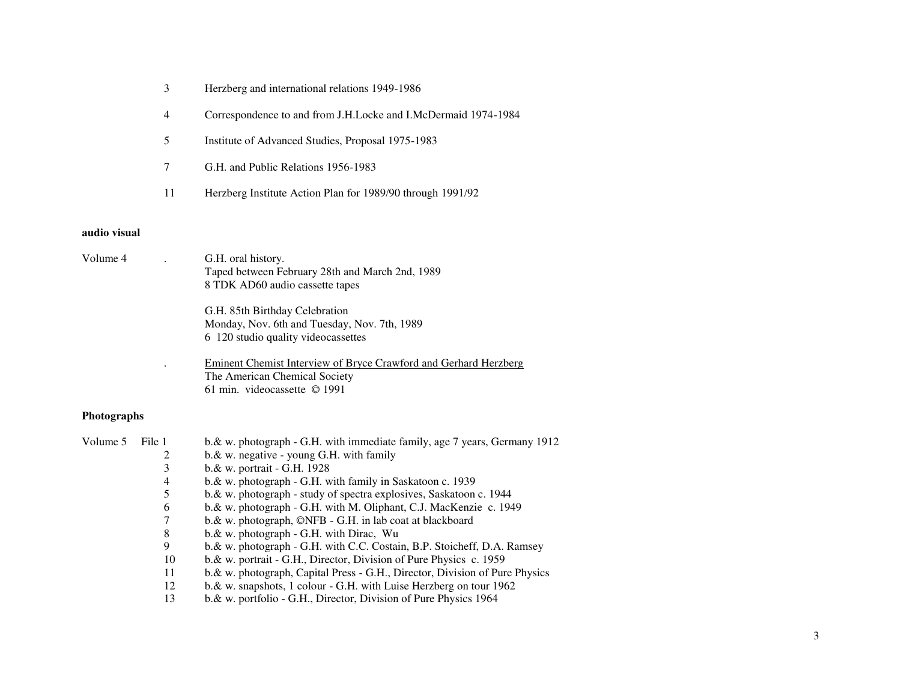- 3 Herzberg and international relations 1949-1986
- 4 Correspondence to and from J.H.Locke and I.McDermaid 1974-1984
- 5 Institute of Advanced Studies, Proposal 1975-1983
- 7 G.H. and Public Relations 1956-1983
- 11 Herzberg Institute Action Plan for 1989/90 through 1991/92

#### **audio visual**

Volume 4 . G.H. oral history. Taped between February 28th and March 2nd, 1989 8 TDK AD60 audio cassette tapes G.H. 85th Birthday Celebration Monday, Nov. 6th and Tuesday, Nov. 7th, 1989 6 120 studio quality videocassettes . Eminent Chemist Interview of Bryce Crawford and Gerhard Herzberg The American Chemical Society 61 min. videocassette © 1991

#### **Photographs**

| Volume 5 | File 1 | b.& w. photograph - G.H. with immediate family, age 7 years, Germany 1912    |
|----------|--------|------------------------------------------------------------------------------|
|          |        | $b.\&$ w. negative - young G.H. with family                                  |
|          | 3      | $b.\&$ w. portrait - G.H. 1928                                               |
|          | 4      | $b.\&$ w. photograph - G.H. with family in Saskatoon c. 1939                 |
|          |        | b. & w. photograph - study of spectra explosives, Saskatoon c. 1944          |
|          | 6      | $b.\&$ w. photograph - G.H. with M. Oliphant, C.J. MacKenzie c. 1949         |
|          |        | $b.\&$ w. photograph, $\mathbb{O}$ NFB - G.H. in lab coat at blackboard      |
|          | 8      | $b.\&$ w. photograph - G.H. with Dirac, Wu                                   |
|          | 9      | b. & w. photograph - G.H. with C.C. Costain, B.P. Stoicheff, D.A. Ramsey     |
|          | 10     | b. & w. portrait - G.H., Director, Division of Pure Physics c. 1959          |
|          | 11     | b. & w. photograph, Capital Press - G.H., Director, Division of Pure Physics |
|          | 12     | $b.\&$ w. snapshots, 1 colour - G.H. with Luise Herzberg on tour 1962        |
|          | 13     | b. & w. portfolio - G.H., Director, Division of Pure Physics 1964            |